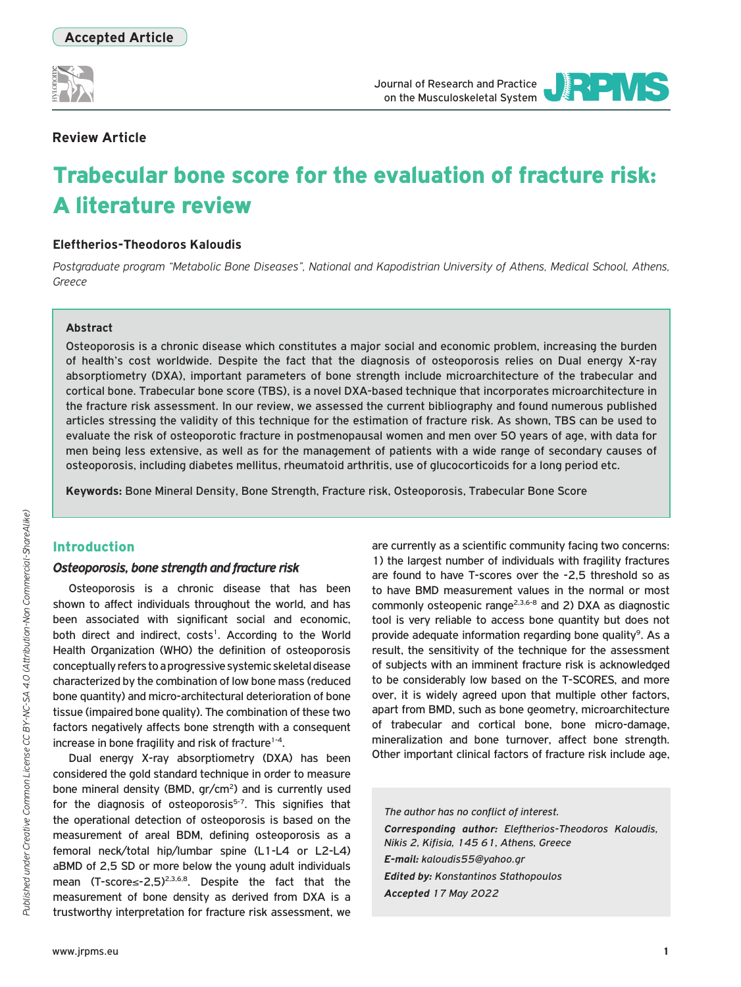

Journal of Research and Practice on the Musculoskeletal System

JOURNAL OF RESEARCH AND PRACTICE

**EEEVS** 

# **Review Article**

# Trabecular bone score for the evaluation of fracture risk: A literature review

# **Eleftherios-Theodoros Kaloudis**

*Postgraduate program "Metabolic Bone Diseases", National and Kapodistrian University of Athens, Medical School, Athens, Greece*

#### **Abstract**

Osteoporosis is a chronic disease which constitutes a major social and economic problem, increasing the burden of health's cost worldwide. Despite the fact that the diagnosis of osteoporosis relies on Dual energy X-ray absorptiometry (DXA), important parameters of bone strength include microarchitecture of the trabecular and cortical bone. Trabecular bone score (TBS), is a novel DXA-based technique that incorporates microarchitecture in the fracture risk assessment. In our review, we assessed the current bibliography and found numerous published articles stressing the validity of this technique for the estimation of fracture risk. As shown, TBS can be used to evaluate the risk of osteoporotic fracture in postmenopausal women and men over 50 years of age, with data for men being less extensive, as well as for the management of patients with a wide range of secondary causes of osteoporosis, including diabetes mellitus, rheumatoid arthritis, use of glucocorticoids for a long period etc.

**Keywords:** Bone Mineral Density, Bone Strength, Fracture risk, Osteoporosis, Trabecular Bone Score

## Introduction

#### *Osteoporosis, bone strength and fracture risk*

Osteoporosis is a chronic disease that has been shown to affect individuals throughout the world, and has been associated with significant social and economic, both direct and indirect, costs<sup>1</sup>. According to the World Health Organization (WHO) the definition of osteoporosis conceptually refers to a progressive systemic skeletal disease characterized by the combination of low bone mass (reduced bone quantity) and micro-architectural deterioration of bone tissue (impaired bone quality). The combination of these two factors negatively affects bone strength with a consequent increase in bone fragility and risk of fracture<sup>1-4</sup>.

Dual energy X-ray absorptiometry (DXA) has been considered the gold standard technique in order to measure bone mineral density (BMD, gr/cm<sup>2</sup>) and is currently used for the diagnosis of osteoporosis<sup>5-7</sup>. This signifies that the operational detection of osteoporosis is based on the measurement of areal BDM, defining osteoporosis as a femoral neck/total hip/lumbar spine (L1-L4 or L2-L4) aBMD of 2,5 SD or more below the young adult individuals mean (T-score≤-2,5)2,3,6,8. Despite the fact that the measurement of bone density as derived from DXA is a trustworthy interpretation for fracture risk assessment, we

are currently as a scientific community facing two concerns: 1) the largest number of individuals with fragility fractures are found to have T-scores over the -2,5 threshold so as to have BMD measurement values in the normal or most commonly osteopenic range<sup>2,3,6-8</sup> and 2) DXA as diagnostic tool is very reliable to access bone quantity but does not provide adequate information regarding bone quality<sup>9</sup>. As a result, the sensitivity of the technique for the assessment of subjects with an imminent fracture risk is acknowledged to be considerably low based on the T-SCORES, and more over, it is widely agreed upon that multiple other factors, apart from BMD, such as bone geometry, microarchitecture of trabecular and cortical bone, bone micro-damage, mineralization and bone turnover, affect bone strength. Other important clinical factors of fracture risk include age,

*The author has no conflict of interest. Corresponding author: Eleftherios-Theodoros Kaloudis, Nikis 2, Kifisia, 145 61, Athens, Greece E-mail: kaloudis55@yahoo.gr Edited by: Konstantinos Stathopoulos Accepted 17 May 2022*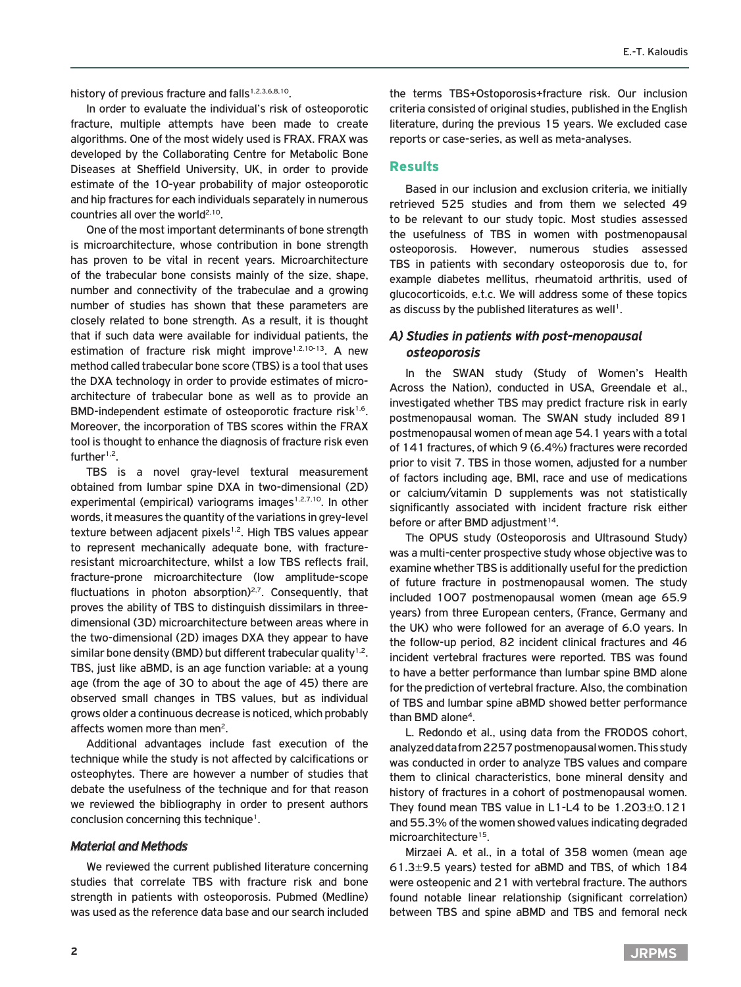history of previous fracture and falls<sup>1,2,3,6,8,10</sup>.

In order to evaluate the individual's risk of osteoporotic fracture, multiple attempts have been made to create algorithms. One of the most widely used is FRAX. FRAX was developed by the Collaborating Centre for Metabolic Bone Diseases at Sheffield University, UK, in order to provide estimate of the 10-year probability of major osteoporotic and hip fractures for each individuals separately in numerous countries all over the world<sup>2,10</sup>.

One of the most important determinants of bone strength is microarchitecture, whose contribution in bone strength has proven to be vital in recent years. Microarchitecture of the trabecular bone consists mainly of the size, shape, number and connectivity of the trabeculae and a growing number of studies has shown that these parameters are closely related to bone strength. As a result, it is thought that if such data were available for individual patients, the estimation of fracture risk might improve<sup>1,2,10-13</sup>. A new method called trabecular bone score (TBS) is a tool that uses the DXA technology in order to provide estimates of microarchitecture of trabecular bone as well as to provide an BMD-independent estimate of osteoporotic fracture risk<sup>1,6</sup>. Moreover, the incorporation of TBS scores within the FRAX tool is thought to enhance the diagnosis of fracture risk even further $1,2$ .

TBS is a novel gray-level textural measurement obtained from lumbar spine DXA in two-dimensional (2D) experimental (empirical) variograms images<sup>1,2,7,10</sup>. In other words, it measures the quantity of the variations in grey-level texture between adjacent pixels<sup>1,2</sup>. High TBS values appear to represent mechanically adequate bone, with fractureresistant microarchitecture, whilst a low TBS reflects frail, fracture-prone microarchitecture (low amplitude-scope fluctuations in photon absorption) $2.7$ . Consequently, that proves the ability of TBS to distinguish dissimilars in threedimensional (3D) microarchitecture between areas where in the two-dimensional (2D) images DXA they appear to have similar bone density (BMD) but different trabecular quality<sup>1,2</sup>. TBS, just like aBMD, is an age function variable: at a young age (from the age of 30 to about the age of 45) there are observed small changes in TBS values, but as individual grows older a continuous decrease is noticed, which probably affects women more than men<sup>2</sup>.

Additional advantages include fast execution of the technique while the study is not affected by calcifications or osteophytes. There are however a number of studies that debate the usefulness of the technique and for that reason we reviewed the bibliography in order to present authors conclusion concerning this technique<sup>1</sup>.

## *Material and Methods*

We reviewed the current published literature concerning studies that correlate TBS with fracture risk and bone strength in patients with osteoporosis. Pubmed (Medline) was used as the reference data base and our search included

the terms TBS+Ostoporosis+fracture risk. Our inclusion criteria consisted of original studies, published in the English literature, during the previous 15 years. We excluded case reports or case-series, as well as meta-analyses.

## Results

Based in our inclusion and exclusion criteria, we initially retrieved 525 studies and from them we selected 49 to be relevant to our study topic. Most studies assessed the usefulness of TBS in women with postmenopausal osteoporosis. However, numerous studies assessed TBS in patients with secondary osteoporosis due to, for example diabetes mellitus, rheumatoid arthritis, used of glucocorticoids, e.t.c. We will address some of these topics as discuss by the published literatures as well<sup>1</sup>.

# *A) Studies in patients with post-menopausal osteoporosis*

In the SWAN study (Study of Women's Health Across the Nation), conducted in USA, Greendale et al., investigated whether TBS may predict fracture risk in early postmenopausal woman. The SWAN study included 891 postmenopausal women of mean age 54.1 years with a total of 141 fractures, of which 9 (6.4%) fractures were recorded prior to visit 7. TBS in those women, adjusted for a number of factors including age, BMI, race and use of medications or calcium/vitamin D supplements was not statistically significantly associated with incident fracture risk either before or after BMD adjustment<sup>14</sup>.

The OPUS study (Osteoporosis and Ultrasound Study) was a multi-center prospective study whose objective was to examine whether TBS is additionally useful for the prediction of future fracture in postmenopausal women. The study included 1007 postmenopausal women (mean age 65.9 years) from three European centers, (France, Germany and the UK) who were followed for an average of 6.0 years. In the follow-up period, 82 incident clinical fractures and 46 incident vertebral fractures were reported. TBS was found to have a better performance than lumbar spine BMD alone for the prediction of vertebral fracture. Also, the combination of TBS and lumbar spine aBMD showed better performance than BMD alone<sup>4</sup>.

L. Redondo et al., using data from the FRODOS cohort, analyzed data from 2257 postmenopausal women. This study was conducted in order to analyze TBS values and compare them to clinical characteristics, bone mineral density and history of fractures in a cohort of postmenopausal women. They found mean TBS value in L1-L4 to be 1.203±0.121 and 55.3% of the women showed values indicating degraded microarchitecture<sup>15</sup>.

Mirzaei A. et al., in a total of 358 women (mean age 61.3±9.5 years) tested for aBMD and TBS, of which 184 were osteopenic and 21 with vertebral fracture. The authors found notable linear relationship (significant correlation) between TBS and spine aBMD and TBS and femoral neck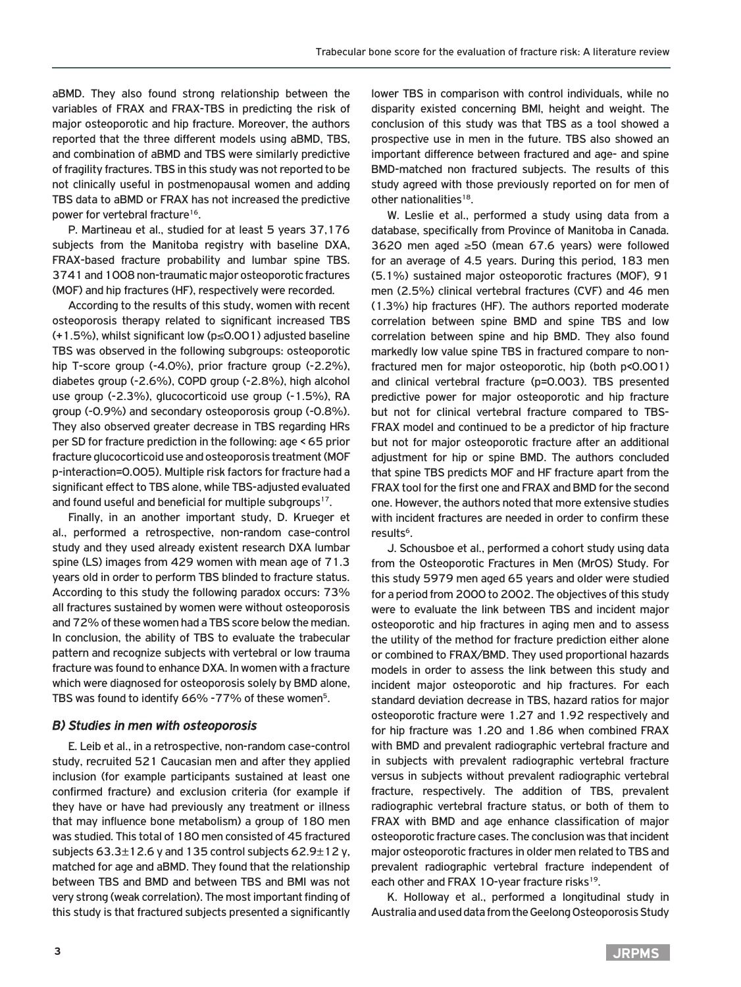aBMD. They also found strong relationship between the variables of FRAX and FRAX-TBS in predicting the risk of major osteoporotic and hip fracture. Moreover, the authors reported that the three different models using aBMD, TBS, and combination of aBMD and TBS were similarly predictive of fragility fractures. TBS in this study was not reported to be not clinically useful in postmenopausal women and adding TBS data to aBMD or FRAX has not increased the predictive power for vertebral fracture<sup>16</sup>.

P. Martineau et al., studied for at least 5 years 37,176 subjects from the Manitoba registry with baseline DXA, FRAX-based fracture probability and lumbar spine TBS. 3741 and 1008 non-traumatic major osteoporotic fractures (MOF) and hip fractures (HF), respectively were recorded.

According to the results of this study, women with recent osteoporosis therapy related to significant increased TBS (+1.5%), whilst significant low (p≤0.001) adjusted baseline TBS was observed in the following subgroups: osteoporotic hip T-score group (-4.0%), prior fracture group (-2.2%), diabetes group (-2.6%), COPD group (-2.8%), high alcohol use group (-2.3%), glucocorticoid use group (-1.5%), RA group (-0.9%) and secondary osteoporosis group (-0.8%). They also observed greater decrease in TBS regarding HRs per SD for fracture prediction in the following: age < 65 prior fracture glucocorticoid use and osteoporosis treatment (MOF p-interaction=0.005). Multiple risk factors for fracture had a significant effect to TBS alone, while TBS-adjusted evaluated and found useful and beneficial for multiple subgroups<sup>17</sup>.

Finally, in an another important study, D. Krueger et al., performed a retrospective, non-random case-control study and they used already existent research DXA lumbar spine (LS) images from 429 women with mean age of 71.3 years old in order to perform TBS blinded to fracture status. According to this study the following paradox occurs: 73% all fractures sustained by women were without osteoporosis and 72% of these women had a TBS score below the median. In conclusion, the ability of TBS to evaluate the trabecular pattern and recognize subjects with vertebral or low trauma fracture was found to enhance DXA. In women with a fracture which were diagnosed for osteoporosis solely by BMD alone, TBS was found to identify 66% -77% of these women<sup>5</sup>.

## *B) Studies in men with osteoporosis*

E. Leib et al., in a retrospective, non-random case-control study, recruited 521 Caucasian men and after they applied inclusion (for example participants sustained at least one confirmed fracture) and exclusion criteria (for example if they have or have had previously any treatment or illness that may influence bone metabolism) a group of 180 men was studied. This total of 180 men consisted of 45 fractured subjects  $63.3\pm12.6$  y and 135 control subjects  $62.9\pm12$  y, matched for age and aBMD. They found that the relationship between TBS and BMD and between TBS and BMI was not very strong (weak correlation). The most important finding of this study is that fractured subjects presented a significantly

lower TBS in comparison with control individuals, while no disparity existed concerning BMI, height and weight. The conclusion of this study was that TBS as a tool showed a prospective use in men in the future. TBS also showed an important difference between fractured and age- and spine BMD-matched non fractured subjects. The results of this study agreed with those previously reported on for men of other nationalities<sup>18</sup>.

W. Leslie et al., performed a study using data from a database, specifically from Province of Manitoba in Canada. 3620 men aged ≥50 (mean 67.6 years) were followed for an average of 4.5 years. During this period, 183 men (5.1%) sustained major osteoporotic fractures (MOF), 91 men (2.5%) clinical vertebral fractures (CVF) and 46 men (1.3%) hip fractures (HF). The authors reported moderate correlation between spine BMD and spine TBS and low correlation between spine and hip BMD. They also found markedly low value spine TBS in fractured compare to nonfractured men for major osteoporotic, hip (both p<0.001) and clinical vertebral fracture (p=0.003). TBS presented predictive power for major osteoporotic and hip fracture but not for clinical vertebral fracture compared to TBS-FRAX model and continued to be a predictor of hip fracture but not for major osteoporotic fracture after an additional adjustment for hip or spine BMD. The authors concluded that spine TBS predicts MOF and HF fracture apart from the FRAX tool for the first one and FRAX and BMD for the second one. However, the authors noted that more extensive studies with incident fractures are needed in order to confirm these results<sup>6</sup>.

J. Schousboe et al., performed a cohort study using data from the Osteoporotic Fractures in Men (MrOS) Study. For this study 5979 men aged 65 years and older were studied for a period from 2000 to 2002. The objectives of this study were to evaluate the link between TBS and incident major osteoporotic and hip fractures in aging men and to assess the utility of the method for fracture prediction either alone or combined to FRAX/BMD. They used proportional hazards models in order to assess the link between this study and incident major osteoporotic and hip fractures. For each standard deviation decrease in TBS, hazard ratios for major osteoporotic fracture were 1.27 and 1.92 respectively and for hip fracture was 1.20 and 1.86 when combined FRAX with BMD and prevalent radiographic vertebral fracture and in subjects with prevalent radiographic vertebral fracture versus in subjects without prevalent radiographic vertebral fracture, respectively. The addition of TBS, prevalent radiographic vertebral fracture status, or both of them to FRAX with BMD and age enhance classification of major osteoporotic fracture cases. The conclusion was that incident major osteoporotic fractures in older men related to TBS and prevalent radiographic vertebral fracture independent of each other and FRAX 10-year fracture risks<sup>19</sup>.

K. Holloway et al., performed a longitudinal study in Australia and used data from the Geelong Osteoporosis Study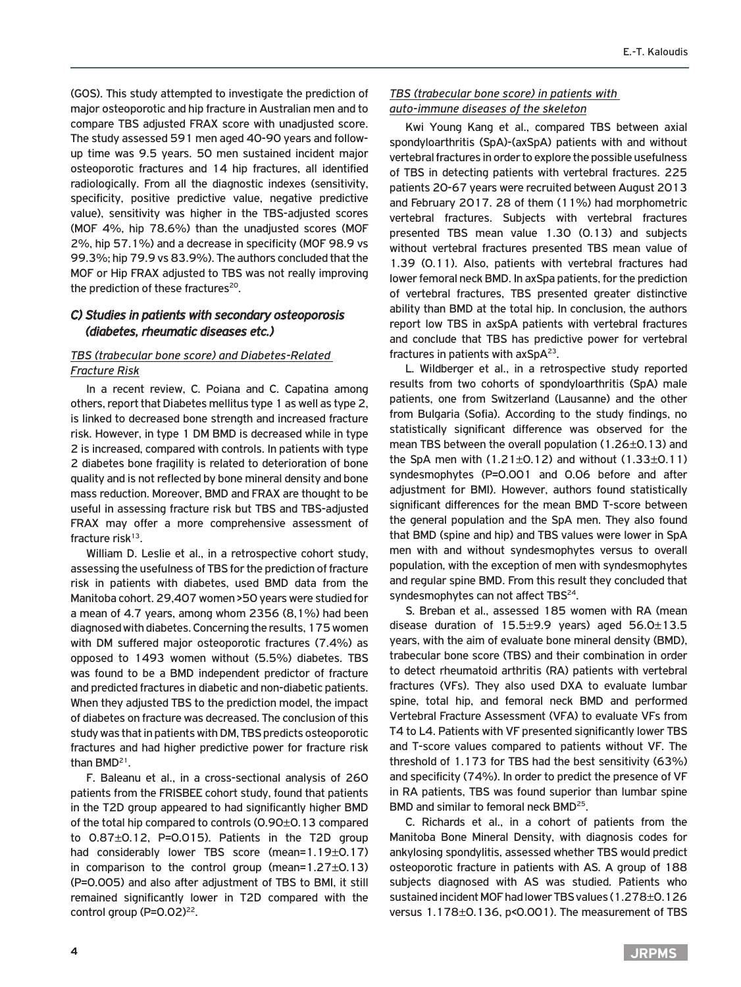(GOS). This study attempted to investigate the prediction of major osteoporotic and hip fracture in Australian men and to compare TBS adjusted FRAX score with unadjusted score. The study assessed 591 men aged 40-90 years and followup time was 9.5 years. 50 men sustained incident major osteoporotic fractures and 14 hip fractures, all identified radiologically. From all the diagnostic indexes (sensitivity, specificity, positive predictive value, negative predictive value), sensitivity was higher in the TBS-adjusted scores (MOF 4%, hip 78.6%) than the unadjusted scores (MOF 2%, hip 57.1%) and a decrease in specificity (MOF 98.9 vs 99.3%; hip 79.9 vs 83.9%). The authors concluded that the MOF or Hip FRAX adjusted to TBS was not really improving the prediction of these fractures<sup>20</sup>.

# *C) Studies in patients with secondary osteoporosis (diabetes, rheumatic diseases etc.)*

## *TBS (trabecular bone score) and Diabetes-Related Fracture Risk*

In a recent review, C. Poiana and C. Capatina among others, report that Diabetes mellitus type 1 as well as type 2, is linked to decreased bone strength and increased fracture risk. However, in type 1 DM BMD is decreased while in type 2 is increased, compared with controls. In patients with type 2 diabetes bone fragility is related to deterioration of bone quality and is not reflected by bone mineral density and bone mass reduction. Moreover, BMD and FRAX are thought to be useful in assessing fracture risk but TBS and TBS-adjusted FRAX may offer a more comprehensive assessment of fracture risk $13$ .

William D. Leslie et al., in a retrospective cohort study, assessing the usefulness of TBS for the prediction of fracture risk in patients with diabetes, used BMD data from the Manitoba cohort. 29,407 women >50 years were studied for a mean of 4.7 years, among whom 2356 (8,1%) had been diagnosed with diabetes. Concerning the results, 175 women with DM suffered major osteoporotic fractures (7.4%) as opposed to 1493 women without (5.5%) diabetes. TBS was found to be a BMD independent predictor of fracture and predicted fractures in diabetic and non-diabetic patients. When they adjusted TBS to the prediction model, the impact of diabetes on fracture was decreased. The conclusion of this study was that in patients with DM, TBS predicts osteoporotic fractures and had higher predictive power for fracture risk than BMD21.

F. Baleanu et al., in a cross-sectional analysis of 260 patients from the FRISBEE cohort study, found that patients in the T2D group appeared to had significantly higher BMD of the total hip compared to controls (0.90±0.13 compared to 0.87±0.12, P=0.015). Patients in the T2D group had considerably lower TBS score (mean=1.19±0.17) in comparison to the control group (mean= $1.27\pm0.13$ ) (P=0.005) and also after adjustment of TBS to BMI, it still remained significantly lower in T2D compared with the control group  $(P=0.02)^{22}$ .

## *TBS (trabecular bone score) in patients with auto-immune diseases of the skeleton*

Kwi Young Kang et al., compared TBS between axial spondyloarthritis (SpA)-(axSpA) patients with and without vertebral fractures in order to explore the possible usefulness of TBS in detecting patients with vertebral fractures. 225 patients 20-67 years were recruited between August 2013 and February 2017. 28 of them (11%) had morphometric vertebral fractures. Subjects with vertebral fractures presented TBS mean value 1.30 (0.13) and subjects without vertebral fractures presented TBS mean value of 1.39 (0.11). Also, patients with vertebral fractures had lower femoral neck BMD. In axSpa patients, for the prediction of vertebral fractures, TBS presented greater distinctive ability than BMD at the total hip. In conclusion, the authors report low TBS in axSpA patients with vertebral fractures and conclude that TBS has predictive power for vertebral fractures in patients with  $axSpA<sup>23</sup>$ .

L. Wildberger et al., in a retrospective study reported results from two cohorts of spondyloarthritis (SpA) male patients, one from Switzerland (Lausanne) and the other from Bulgaria (Sofia). According to the study findings, no statistically significant difference was observed for the mean TBS between the overall population (1.26±0.13) and the SpA men with  $(1.21 \pm 0.12)$  and without  $(1.33 \pm 0.11)$ syndesmophytes (P=0.001 and 0.06 before and after adjustment for BMI). However, authors found statistically significant differences for the mean BMD T-score between the general population and the SpA men. They also found that BMD (spine and hip) and TBS values were lower in SpA men with and without syndesmophytes versus to overall population, with the exception of men with syndesmophytes and regular spine BMD. From this result they concluded that syndesmophytes can not affect TBS<sup>24</sup>.

S. Breban et al., assessed 185 women with RA (mean disease duration of  $15.5\pm9.9$  years) aged  $56.0\pm13.5$ years, with the aim of evaluate bone mineral density (BMD), trabecular bone score (TBS) and their combination in order to detect rheumatoid arthritis (RA) patients with vertebral fractures (VFs). They also used DXA to evaluate lumbar spine, total hip, and femoral neck BMD and performed Vertebral Fracture Assessment (VFA) to evaluate VFs from T4 to L4. Patients with VF presented significantly lower TBS and T-score values compared to patients without VF. The threshold of 1.173 for TBS had the best sensitivity (63%) and specificity (74%). In order to predict the presence of VF in RA patients, TBS was found superior than lumbar spine BMD and similar to femoral neck BMD<sup>25</sup>.

C. Richards et al., in a cohort of patients from the Manitoba Bone Mineral Density, with diagnosis codes for ankylosing spondylitis, assessed whether TBS would predict osteoporotic fracture in patients with AS. A group of 188 subjects diagnosed with AS was studied. Patients who sustained incident MOF had lower TBS values (1.278±0.126 versus 1.178±0.136, p<0.001). The measurement of TBS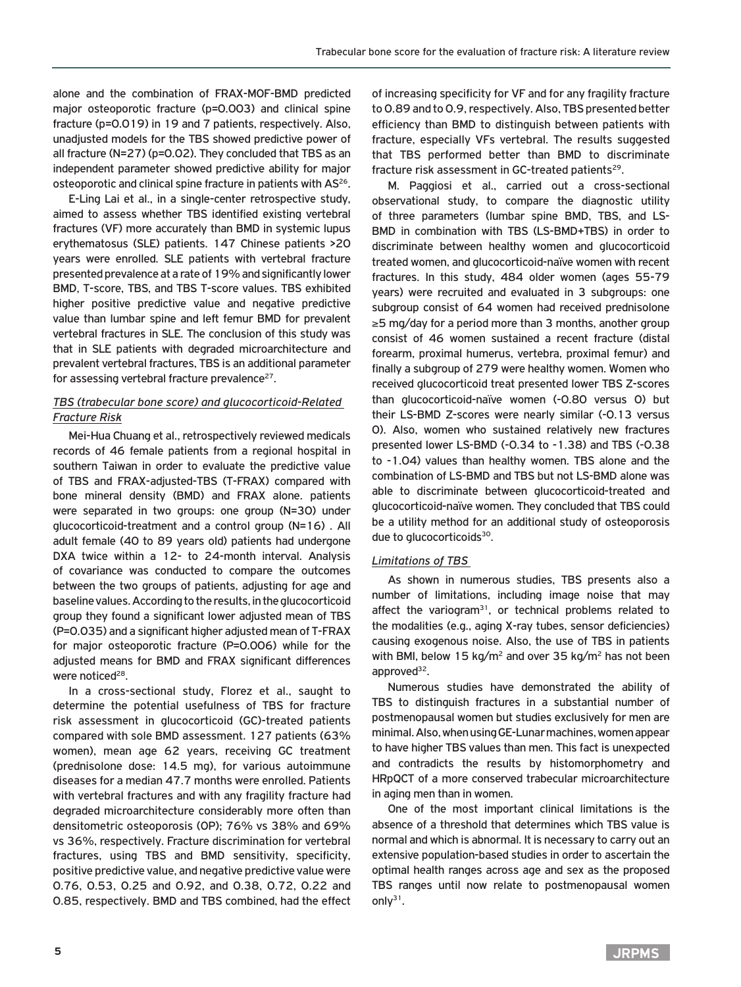alone and the combination of FRAX-MOF-BMD predicted major osteoporotic fracture (p=0.003) and clinical spine fracture (p=0.019) in 19 and 7 patients, respectively. Also, unadjusted models for the TBS showed predictive power of all fracture (N=27) (p=0.02). They concluded that TBS as an independent parameter showed predictive ability for major osteoporotic and clinical spine fracture in patients with AS<sup>26</sup>.

E-Ling Lai et al., in a single-center retrospective study, aimed to assess whether TBS identified existing vertebral fractures (VF) more accurately than BMD in systemic lupus erythematosus (SLE) patients. 147 Chinese patients >20 years were enrolled. SLE patients with vertebral fracture presented prevalence at a rate of 19% and significantly lower BMD, T-score, TBS, and TBS T-score values. TBS exhibited higher positive predictive value and negative predictive value than lumbar spine and left femur BMD for prevalent vertebral fractures in SLE. The conclusion of this study was that in SLE patients with degraded microarchitecture and prevalent vertebral fractures, TBS is an additional parameter for assessing vertebral fracture prevalence<sup>27</sup>.

## *TBS (trabecular bone score) and glucocorticoid-Related Fracture Risk*

Mei-Hua Chuang et al., retrospectively reviewed medicals records of 46 female patients from a regional hospital in southern Taiwan in order to evaluate the predictive value of TBS and FRAX-adjusted-TBS (T-FRAX) compared with bone mineral density (BMD) and FRAX alone. patients were separated in two groups: one group (N=30) under glucocorticoid-treatment and a control group (N=16) . All adult female (40 to 89 years old) patients had undergone DXA twice within a 12- to 24-month interval. Analysis of covariance was conducted to compare the outcomes between the two groups of patients, adjusting for age and baseline values. According to the results, in the glucocorticoid group they found a significant lower adjusted mean of TBS (P=0.035) and a significant higher adjusted mean of T-FRAX for major osteoporotic fracture (P=0.006) while for the adjusted means for BMD and FRAX significant differences were noticed<sup>28</sup>.

In a cross-sectional study, Florez et al., saught to determine the potential usefulness of TBS for fracture risk assessment in glucocorticoid (GC)-treated patients compared with sole BMD assessment. 127 patients (63% women), mean age 62 years, receiving GC treatment (prednisolone dose: 14.5 mg), for various autoimmune diseases for a median 47.7 months were enrolled. Patients with vertebral fractures and with any fragility fracture had degraded microarchitecture considerably more often than densitometric osteoporosis (OP); 76% vs 38% and 69% vs 36%, respectively. Fracture discrimination for vertebral fractures, using TBS and BMD sensitivity, specificity, positive predictive value, and negative predictive value were 0.76, 0.53, 0.25 and 0.92, and 0.38, 0.72, 0.22 and 0.85, respectively. BMD and TBS combined, had the effect

of increasing specificity for VF and for any fragility fracture to 0.89 and to 0.9, respectively. Also, TBS presented better efficiency than BMD to distinguish between patients with fracture, especially VFs vertebral. The results suggested that TBS performed better than BMD to discriminate fracture risk assessment in GC-treated patients<sup>29</sup>.

M. Paggiosi et al., carried out a cross-sectional observational study, to compare the diagnostic utility of three parameters (lumbar spine BMD, TBS, and LS-BMD in combination with TBS (LS-BMD+TBS) in order to discriminate between healthy women and glucocorticoid treated women, and glucocorticoid-naïve women with recent fractures. In this study, 484 older women (ages 55-79 years) were recruited and evaluated in 3 subgroups: one subgroup consist of 64 women had received prednisolone ≥5 mg/day for a period more than 3 months, another group consist of 46 women sustained a recent fracture (distal forearm, proximal humerus, vertebra, proximal femur) and finally a subgroup of 279 were healthy women. Women who received glucocorticoid treat presented lower TBS Z-scores than glucocorticoid-naïve women (-0.80 versus 0) but their LS-BMD Z-scores were nearly similar (-0.13 versus 0). Also, women who sustained relatively new fractures presented lower LS-BMD (-0.34 to -1.38) and TBS (-0.38 to -1.04) values than healthy women. TBS alone and the combination of LS-BMD and TBS but not LS-BMD alone was able to discriminate between glucocorticoid-treated and glucocorticoid-naïve women. They concluded that TBS could be a utility method for an additional study of osteoporosis due to glucocorticoids<sup>30</sup>.

## *Limitations of TBS*

As shown in numerous studies, TBS presents also a number of limitations, including image noise that may affect the variogram $31$ , or technical problems related to the modalities (e.g., aging X-ray tubes, sensor deficiencies) causing exogenous noise. Also, the use of TBS in patients with BMI, below 15 kg/ $m^2$  and over 35 kg/ $m^2$  has not been approved $32$ .

Numerous studies have demonstrated the ability of TBS to distinguish fractures in a substantial number of postmenopausal women but studies exclusively for men are minimal. Also, when using GE-Lunar machines, women appear to have higher TBS values than men. This fact is unexpected and contradicts the results by histomorphometry and HRpQCT of a more conserved trabecular microarchitecture in aging men than in women.

One of the most important clinical limitations is the absence of a threshold that determines which TBS value is normal and which is abnormal. It is necessary to carry out an extensive population-based studies in order to ascertain the optimal health ranges across age and sex as the proposed TBS ranges until now relate to postmenopausal women only $31$ .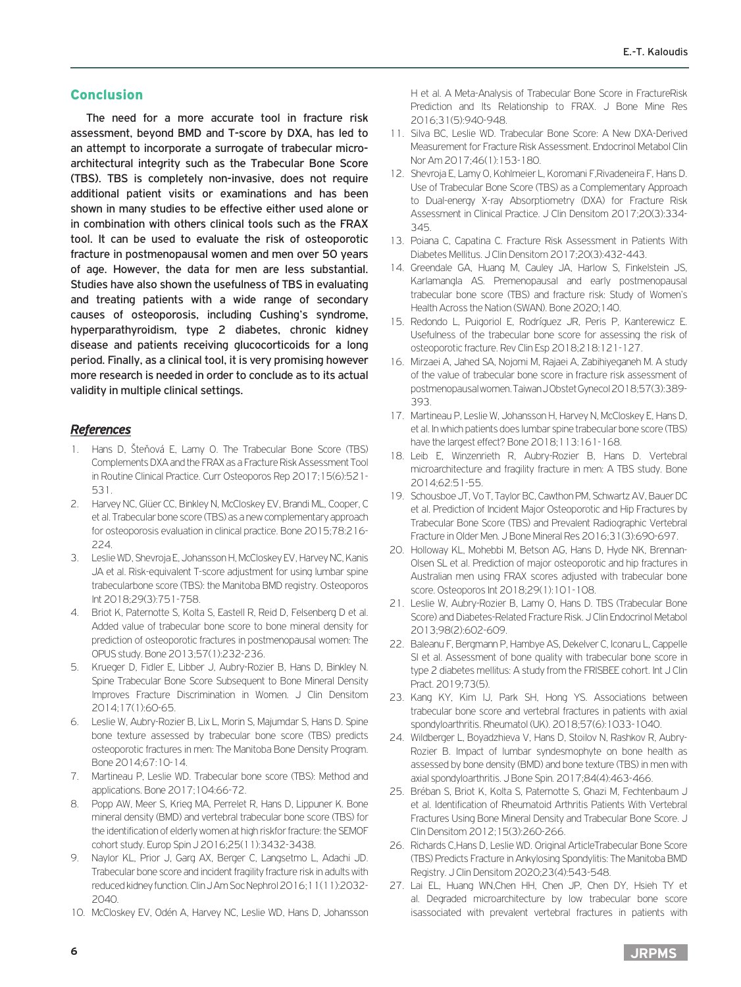# Conclusion

The need for a more accurate tool in fracture risk assessment, beyond BMD and T-score by DXA, has led to an attempt to incorporate a surrogate of trabecular microarchitectural integrity such as the Trabecular Bone Score (TBS). TBS is completely non-invasive, does not require additional patient visits or examinations and has been shown in many studies to be effective either used alone or in combination with others clinical tools such as the FRAX tool. It can be used to evaluate the risk of osteoporotic fracture in postmenopausal women and men over 50 years of age. However, the data for men are less substantial. Studies have also shown the usefulness of TBS in evaluating and treating patients with a wide range of secondary causes of osteoporosis, including Cushing's syndrome, hyperparathyroidism, type 2 diabetes, chronic kidney disease and patients receiving glucocorticoids for a long period. Finally, as a clinical tool, it is very promising however more research is needed in order to conclude as to its actual validity in multiple clinical settings.

# *References*

- 1. Hans D, Šteňová E, Lamy O. The Trabecular Bone Score (TBS) Complements DXA and the FRAX as a Fracture Risk Assessment Tool in Routine Clinical Practice. Curr Osteoporos Rep 2017;15(6):521- 531.
- 2. Harvey NC, Glüer CC, Binkley N, McCloskey EV, Brandi ML, Cooper, C et al. Trabecular bone score (TBS) as a new complementary approach for osteoporosis evaluation in clinical practice. Bone 2015;78:216- 224.
- 3. Leslie WD, Shevroja E, Johansson H, McCloskey EV, Harvey NC, Kanis JA et al. Risk-equivalent T-score adjustment for using lumbar spine trabecularbone score (TBS): the Manitoba BMD registry. Osteoporos Int 2018;29(3):751-758.
- 4. Briot K, Paternotte S, Kolta S, Eastell R, Reid D, Felsenberg D et al. Added value of trabecular bone score to bone mineral density for prediction of osteoporotic fractures in postmenopausal women: The OPUS study. Bone 2013;57(1):232-236.
- 5. Krueger D, Fidler E, Libber J, Aubry-Rozier B, Hans D, Binkley N. Spine Trabecular Bone Score Subsequent to Bone Mineral Density Improves Fracture Discrimination in Women. J Clin Densitom 2014;17(1):60-65.
- 6. Leslie W, Aubry-Rozier B, Lix L, Morin S, Majumdar S, Hans D. Spine bone texture assessed by trabecular bone score (TBS) predicts osteoporotic fractures in men: The Manitoba Bone Density Program. Bone 2014;67:10-14.
- 7. Martineau P, Leslie WD. Trabecular bone score (TBS): Method and applications. Bone 2017;104:66-72.
- 8. Popp AW, Meer S, Krieg MA, Perrelet R, Hans D, Lippuner K. Bone mineral density (BMD) and vertebral trabecular bone score (TBS) for the identification of elderly women at high riskfor fracture: the SEMOF cohort study. Europ Spin J 2016;25(11):3432-3438.
- 9. Naylor KL, Prior J, Garg AX, Berger C, Langsetmo L, Adachi JD. Trabecular bone score and incident fragility fracture risk in adults with reduced kidney function. Clin J Am Soc Nephrol 2016;11(11):2032- 2040.
- 10. McCloskey EV, Odén Α, Harvey NC, Leslie WD, Hans D, Johansson

H et al. A Meta-Analysis of Trabecular Bone Score in FractureRisk Prediction and Its Relationship to FRAX. J Bone Mine Res 2016;31(5):940-948.

- 11. Silva BC, Leslie WD. Trabecular Bone Score: A New DXA-Derived Measurement for Fracture Risk Assessment. Endocrinol Metabol Clin Nor Am 2017;46(1):153-180.
- 12. Shevroja E, Lamy O, Kohlmeier L, Koromani F,Rivadeneira F, Hans D. Use of Trabecular Bone Score (TBS) as a Complementary Approach to Dual-energy X-ray Absorptiometry (DXA) for Fracture Risk Assessment in Clinical Practice. J Clin Densitom 2017;20(3):334- 345.
- 13. Poiana C, Capatina C. Fracture Risk Assessment in Patients With Diabetes Mellitus. J Clin Densitom 2017;20(3):432-443.
- 14. Greendale GA, Huang M, Cauley JA, Harlow S, Finkelstein JS, Karlamangla AS. Premenopausal and early postmenopausal trabecular bone score (TBS) and fracture risk: Study of Women's Health Across the Nation (SWAN). Bone 2020;140.
- 15. Redondo L, Puigoriol E, Rodríguez JR, Peris P, Kanterewicz E. Usefulness of the trabecular bone score for assessing the risk of osteoporotic fracture. Rev Clin Esp 2018;218:121-127.
- 16. Mirzaei A, Jahed SA, Nojomi M, Rajaei A, Zabihiyeganeh M. A study of the value of trabecular bone score in fracture risk assessment of postmenopausal women. Taiwan J Obstet Gynecol 2018;57(3):389- 393.
- 17. Martineau P, Leslie W, Johansson H, Harvey N, McCloskey E, Hans D, et al. In which patients does lumbar spine trabecular bone score (TBS) have the largest effect? Bone 2018;113:161-168.
- 18. Leib E, Winzenrieth R, Aubry-Rozier B, Hans D. Vertebral microarchitecture and fragility fracture in men: A TBS study. Bone 2014;62:51-55.
- 19. Schousboe JT, Vo T, Taylor BC, Cawthon PM, Schwartz AV, Bauer DC et al. Prediction of Incident Major Osteoporotic and Hip Fractures by Trabecular Bone Score (TBS) and Prevalent Radiographic Vertebral Fracture in Older Men. J Bone Mineral Res 2016;31(3):690-697.
- 20. Holloway KL, Mohebbi M, Betson AG, Hans D, Hyde NK, Brennan-Olsen SL et al. Prediction of major osteoporotic and hip fractures in Australian men using FRAX scores adjusted with trabecular bone score. Osteoporos Int 2018;29(1):101-108.
- 21. Leslie W, Aubry-Rozier B, Lamy O, Hans D. TBS (Trabecular Bone Score) and Diabetes-Related Fracture Risk. J Clin Endocrinol Metabol 2013;98(2):602-609.
- 22. Baleanu F, Bergmann P, Hambye AS, Dekelver C, Iconaru L, Cappelle SI et al. Assessment of bone quality with trabecular bone score in type 2 diabetes mellitus: A study from the FRISBEE cohort. Int J Clin Pract. 2019;73(5).
- 23. Kang KY, Kim IJ, Park SH, Hong YS. Associations between trabecular bone score and vertebral fractures in patients with axial spondyloarthritis. Rheumatol (UK). 2018;57(6):1033-1040.
- 24. Wildberger L, Boyadzhieva V, Hans D, Stoilov N, Rashkov R, Aubry-Rozier B. Impact of lumbar syndesmophyte on bone health as assessed by bone density (BMD) and bone texture (TBS) in men with axial spondyloarthritis. J Bone Spin. 2017;84(4):463-466.
- 25. Bréban S, Briot K, Kolta S, Paternotte S, Ghazi M, Fechtenbaum J et al. Identification of Rheumatoid Arthritis Patients With Vertebral Fractures Using Bone Mineral Density and Trabecular Bone Score. J Clin Densitom 2012;15(3):260-266.
- 26. Richards C,Hans D, Leslie WD. Original ArticleTrabecular Bone Score (TBS) Predicts Fracture in Ankylosing Spondylitis: The Manitoba BMD Registry. J Clin Densitom 2020;23(4):543-548.
- 27. Lai EL, Huang WN,Chen HH, Chen JP, Chen DY, Hsieh TY et al. Degraded microarchitecture by low trabecular bone score isassociated with prevalent vertebral fractures in patients with